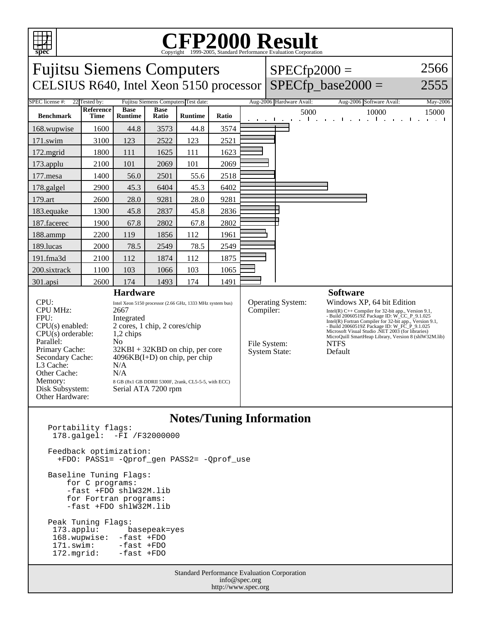

## C<sub>opyright</sub> ©1999-2005, Standard Performance Evaluation Corporation

| <b>Fujitsu Siemens Computers</b><br>CELSIUS R640, Intel Xeon 5150 processor                                                                                                                                                                                                                                                                                                                                                                                                                                                         |                            |                |             |                                      |           |                                                                  | $SPECfp2000 =$                                                                                                                                                                                                                                                                                                                                                                         | $SPECfp\_base2000 =$                             | 2566<br>2555                   |
|-------------------------------------------------------------------------------------------------------------------------------------------------------------------------------------------------------------------------------------------------------------------------------------------------------------------------------------------------------------------------------------------------------------------------------------------------------------------------------------------------------------------------------------|----------------------------|----------------|-------------|--------------------------------------|-----------|------------------------------------------------------------------|----------------------------------------------------------------------------------------------------------------------------------------------------------------------------------------------------------------------------------------------------------------------------------------------------------------------------------------------------------------------------------------|--------------------------------------------------|--------------------------------|
| SPEC license #:                                                                                                                                                                                                                                                                                                                                                                                                                                                                                                                     | 22 Tested by:<br>Reference | <b>Base</b>    | <b>Base</b> | Fujitsu Siemens Computers Test date: |           |                                                                  | Aug-2006 Hardware Avail:                                                                                                                                                                                                                                                                                                                                                               | Aug-2006 Software Avail:                         | May-2006                       |
| <b>Benchmark</b>                                                                                                                                                                                                                                                                                                                                                                                                                                                                                                                    | Time                       | <b>Runtime</b> | Ratio       | <b>Runtime</b>                       | Ratio     |                                                                  | 5000<br>$\mathbf{I}$<br>المسالم والمنافذ<br>$\mathcal{L}^{\pm}$                                                                                                                                                                                                                                                                                                                        | 10000<br>$\cdot$ 1<br>$\sim$ $\sim$ $\sim$<br>п. | 15000<br>$\sim$<br>and a state |
| 168.wupwise                                                                                                                                                                                                                                                                                                                                                                                                                                                                                                                         | 1600                       | 44.8           | 3573        | 44.8                                 | 3574      |                                                                  |                                                                                                                                                                                                                                                                                                                                                                                        |                                                  |                                |
| 171.swim                                                                                                                                                                                                                                                                                                                                                                                                                                                                                                                            | 3100                       | 123            | 2522        | 123                                  | 2521      |                                                                  |                                                                                                                                                                                                                                                                                                                                                                                        |                                                  |                                |
| 172.mgrid                                                                                                                                                                                                                                                                                                                                                                                                                                                                                                                           | 1800                       | 111            | 1625        | 111                                  | 1623      |                                                                  |                                                                                                                                                                                                                                                                                                                                                                                        |                                                  |                                |
| 173.applu                                                                                                                                                                                                                                                                                                                                                                                                                                                                                                                           | 2100                       | 101            | 2069        | 101                                  | 2069      |                                                                  |                                                                                                                                                                                                                                                                                                                                                                                        |                                                  |                                |
| 177.mesa                                                                                                                                                                                                                                                                                                                                                                                                                                                                                                                            | 1400                       | 56.0           | 2501        | 55.6                                 | 2518      |                                                                  |                                                                                                                                                                                                                                                                                                                                                                                        |                                                  |                                |
| 178.galgel                                                                                                                                                                                                                                                                                                                                                                                                                                                                                                                          | 2900                       | 45.3           | 6404        | 45.3                                 | 6402      |                                                                  |                                                                                                                                                                                                                                                                                                                                                                                        |                                                  |                                |
| 179.art                                                                                                                                                                                                                                                                                                                                                                                                                                                                                                                             | 2600                       | 28.0           | 9281        | 28.0                                 | 9281      |                                                                  |                                                                                                                                                                                                                                                                                                                                                                                        |                                                  |                                |
| 183.equake                                                                                                                                                                                                                                                                                                                                                                                                                                                                                                                          | 1300                       | 45.8           | 2837        | 45.8                                 | 2836      |                                                                  |                                                                                                                                                                                                                                                                                                                                                                                        |                                                  |                                |
| 187.facerec                                                                                                                                                                                                                                                                                                                                                                                                                                                                                                                         | 1900                       | 67.8           | 2802        | 67.8                                 | 2802      |                                                                  |                                                                                                                                                                                                                                                                                                                                                                                        |                                                  |                                |
| 188.ammp                                                                                                                                                                                                                                                                                                                                                                                                                                                                                                                            | 2200                       | 119            | 1856        | 112                                  | 1961      |                                                                  |                                                                                                                                                                                                                                                                                                                                                                                        |                                                  |                                |
| 189.lucas                                                                                                                                                                                                                                                                                                                                                                                                                                                                                                                           | 2000                       | 78.5           | 2549        | 78.5                                 | 2549      |                                                                  |                                                                                                                                                                                                                                                                                                                                                                                        |                                                  |                                |
| 191.fma3d                                                                                                                                                                                                                                                                                                                                                                                                                                                                                                                           | 2100                       | 112            | 1874        | 112                                  | 1875      |                                                                  |                                                                                                                                                                                                                                                                                                                                                                                        |                                                  |                                |
| 200.sixtrack                                                                                                                                                                                                                                                                                                                                                                                                                                                                                                                        | 1100                       | 103            | 1066        | 103                                  | 1065      |                                                                  |                                                                                                                                                                                                                                                                                                                                                                                        |                                                  |                                |
| 301.apsi                                                                                                                                                                                                                                                                                                                                                                                                                                                                                                                            | 2600                       | 174            | 1493        | 174                                  | 1491      |                                                                  |                                                                                                                                                                                                                                                                                                                                                                                        |                                                  |                                |
| <b>Hardware</b>                                                                                                                                                                                                                                                                                                                                                                                                                                                                                                                     |                            |                |             |                                      |           |                                                                  |                                                                                                                                                                                                                                                                                                                                                                                        | <b>Software</b>                                  |                                |
| CPU:<br>Intel Xeon 5150 processor (2.66 GHz, 1333 MHz system bus)<br><b>CPU MHz:</b><br>2667<br>FPU:<br>Integrated<br>2 cores, 1 chip, 2 cores/chip<br>$CPU(s)$ enabled:<br>$CPU(s)$ orderable:<br>1,2 chips<br>Parallel:<br>N <sub>0</sub><br>Primary Cache:<br>$32KBI + 32KBD$ on chip, per core<br>Secondary Cache:<br>$4096KB(I+D)$ on chip, per chip<br>L3 Cache:<br>N/A<br>Other Cache:<br>N/A<br>Memory:<br>8 GB (8x1 GB DDRII 5300F, 2rank, CL5-5-5, with ECC)<br>Disk Subsystem:<br>Serial ATA 7200 rpm<br>Other Hardware: |                            |                |             |                                      | Compiler: | <b>Operating System:</b><br>File System:<br><b>System State:</b> | Windows XP, 64 bit Edition<br>Intel(R) $C++$ Compiler for 32-bit app., Version 9.1,<br>- Build 20060519Z Package ID: W_CC_P_9.1.025<br>Intel(R) Fortran Compiler for 32-bit app., Version 9.1,<br>- Build 20060519Z Package ID: W_FC_P_9.1.025<br>Microsoft Visual Studio .NET 2003 (for libraries)<br>MicroQuill SmartHeap Library, Version 8 (shlW32M.lib)<br><b>NTFS</b><br>Default |                                                  |                                |

### **Notes/Tuning Information**

| <b>Standard Performance Evaluation Corporation</b><br>$\int$ info measure                        |                                                                           |  |  |  |  |  |  |  |
|--------------------------------------------------------------------------------------------------|---------------------------------------------------------------------------|--|--|--|--|--|--|--|
| Peak Tuning Flags:<br>168.wupwise: -fast +FDO<br>171.swim: -fast +FDO<br>172. mgrid: - fast +FDO | 173.applu: basepeak=yes                                                   |  |  |  |  |  |  |  |
| Baseline Tuning Flags:<br>for C programs:                                                        | -fast +FDO shlW32M.lib<br>for Fortran programs:<br>-fast +FDO shlW32M.lib |  |  |  |  |  |  |  |
| Feedback optimization:<br>+FDO: PASS1= - Oprof gen PASS2= - Oprof use                            |                                                                           |  |  |  |  |  |  |  |
| Portability flags:                                                                               | ິ<br>178.galgel: -FI /F32000000                                           |  |  |  |  |  |  |  |

info@spec.org http://www.spec.org